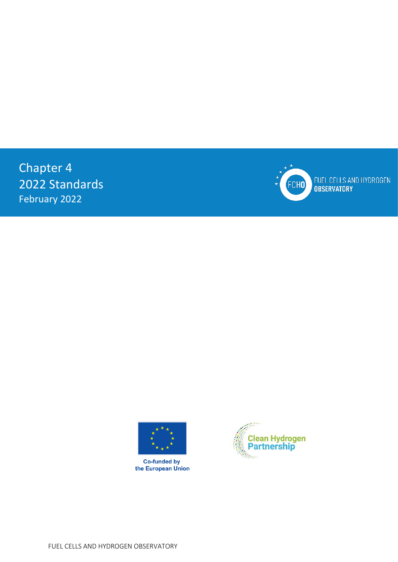Chapter 4 2022 Standards February 2022



FUEL CELLS AND HYDROGEN<br>OBSERVATORY



**Co-funded by** the European Union



FUEL CELLS AND HYDROGEN OBSERVATORY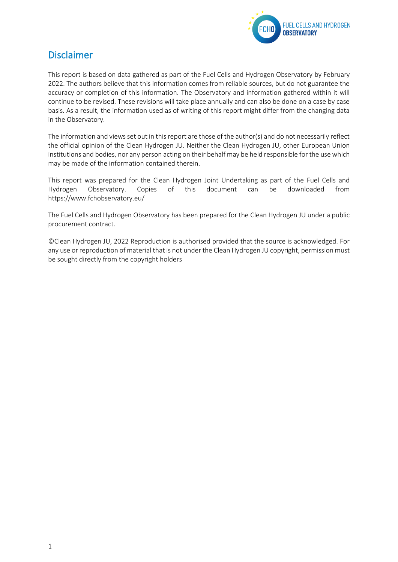

# <span id="page-1-0"></span>Disclaimer

This report is based on data gathered as part of the Fuel Cells and Hydrogen Observatory by February 2022. The authors believe that this information comes from reliable sources, but do not guarantee the accuracy or completion of this information. The Observatory and information gathered within it will continue to be revised. These revisions will take place annually and can also be done on a case by case basis. As a result, the information used as of writing of this report might differ from the changing data in the Observatory.

The information and views set out in this report are those of the author(s) and do not necessarily reflect the official opinion of the Clean Hydrogen JU. Neither the Clean Hydrogen JU, other European Union institutions and bodies, nor any person acting on their behalf may be held responsible for the use which may be made of the information contained therein.

This report was prepared for the Clean Hydrogen Joint Undertaking as part of the Fuel Cells and Hydrogen Observatory. Copies of this document can be downloaded from <https://www.fchobservatory.eu/>

The Fuel Cells and Hydrogen Observatory has been prepared for the Clean Hydrogen JU under a public procurement contract.

©Clean Hydrogen JU, 2022 Reproduction is authorised provided that the source is acknowledged. For any use or reproduction of material that is not under the Clean Hydrogen JU copyright, permission must be sought directly from the copyright holders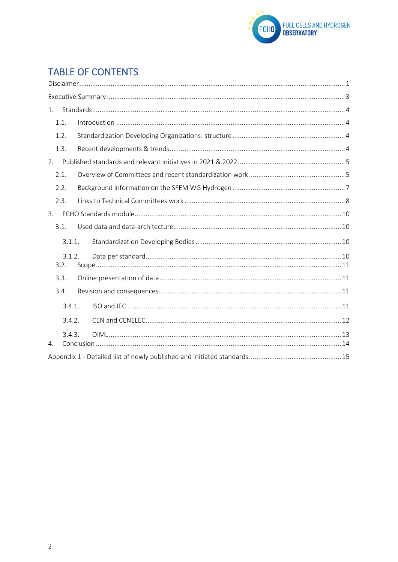

# **TABLE OF CONTENTS**

| 1.   |                  |        |  |  |  |  |  |
|------|------------------|--------|--|--|--|--|--|
|      | 1.1.             |        |  |  |  |  |  |
| 1.2. |                  |        |  |  |  |  |  |
|      | 1.3.             |        |  |  |  |  |  |
| 2.   |                  |        |  |  |  |  |  |
| 2.1. |                  |        |  |  |  |  |  |
| 2.2. |                  |        |  |  |  |  |  |
|      | 2.3.             |        |  |  |  |  |  |
| 3.   |                  |        |  |  |  |  |  |
| 3.1. |                  |        |  |  |  |  |  |
|      | 3.1.1.<br>3.1.2. |        |  |  |  |  |  |
|      |                  |        |  |  |  |  |  |
|      | 3.2.             |        |  |  |  |  |  |
|      | 3.3.             |        |  |  |  |  |  |
|      | 3.4.             |        |  |  |  |  |  |
|      | 3.4.1.<br>3.4.2. |        |  |  |  |  |  |
|      |                  |        |  |  |  |  |  |
| 4.   |                  | 3.4.3. |  |  |  |  |  |
|      |                  |        |  |  |  |  |  |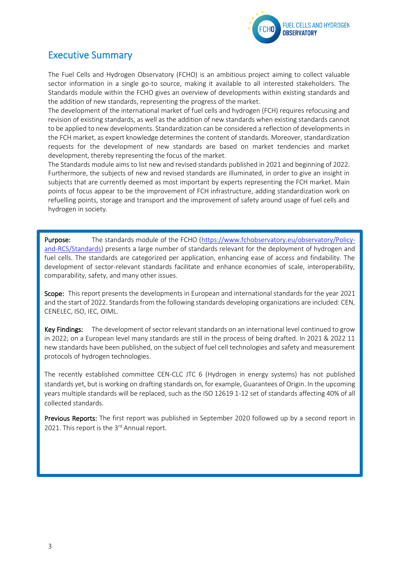

# <span id="page-3-0"></span>Executive Summary

The Fuel Cells and Hydrogen Observatory (FCHO) is an ambitious project aiming to collect valuable sector information in a single go-to source, making it available to all interested stakeholders. The Standards module within the FCHO gives an overview of developments within existing standards and the addition of new standards, representing the progress of the market.

The development of the international market of fuel cells and hydrogen (FCH) requires refocusing and revision of existing standards, as well as the addition of new standards when existing standards cannot to be applied to new developments. Standardization can be considered a reflection of developments in the FCH market, as expert knowledge determines the content of standards. Moreover, standardization requests for the development of new standards are based on market tendencies and market development, thereby representing the focus of the market.

The Standards module aims to list new and revised standards published in 2021 and beginning of 2022. Furthermore, the subjects of new and revised standards are illuminated, in order to give an insight in subjects that are currently deemed as most important by experts representing the FCH market. Main points of focus appear to be the improvement of FCH infrastructure, adding standardization work on refuelling points, storage and transport and the improvement of safety around usage of fuel cells and hydrogen in society.

Purpose: The standards module of the FCHO [\(https://www.fchobservatory.eu/observatory/Policy](https://www.fchobservatory.eu/observatory/Policy-and-RCS/Standards)[and-RCS/Standards\)](https://www.fchobservatory.eu/observatory/Policy-and-RCS/Standards) presents a large number of standards relevant for the deployment of hydrogen and fuel cells. The standards are categorized per application, enhancing ease of access and findability. The development of sector-relevant standards facilitate and enhance economies of scale, interoperability, comparability, safety, and many other issues.

Scope: This report presents the developments in European and international standards for the year 2021 and the start of 2022. Standards from the following standards developing organizations are included: CEN, CENELEC, ISO, IEC, OIML.

Key Findings: The development of sector relevant standards on an international level continued to grow in 2022; on a European level many standards are still in the process of being drafted. In 2021 & 2022 11 new standards have been published, on the subject of fuel cell technologies and safety and measurement protocols of hydrogen technologies.

The recently established committee CEN-CLC JTC 6 (Hydrogen in energy systems) has not published standards yet, but is working on drafting standards on, for example, Guarantees of Origin. In the upcoming years multiple standards will be replaced, such as the ISO 12619 1-12 set of standards affecting 40% of all collected standards.

Previous Reports: The first report was published in September 2020 followed up by a second report in 2021. This report is the 3<sup>rd</sup> Annual report.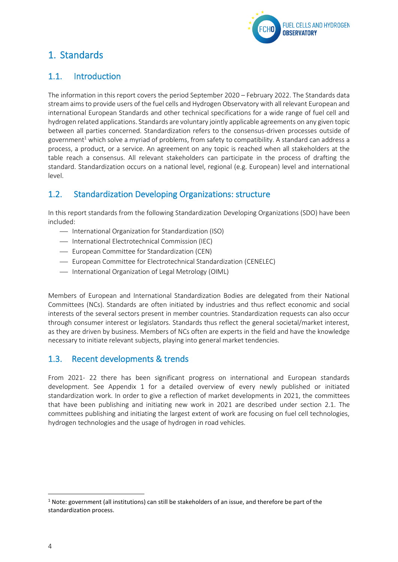

# <span id="page-4-0"></span>1. Standards

## <span id="page-4-1"></span>1.1. Introduction

The information in this report covers the period September 2020 – February 2022. The Standards data stream aims to provide users of the fuel cells and Hydrogen Observatory with all relevant European and international European Standards and other technical specifications for a wide range of fuel cell and hydrogen related applications. Standards are voluntary jointly applicable agreements on any given topic between all parties concerned. Standardization refers to the consensus-driven processes outside of government<sup>1</sup> which solve a myriad of problems, from safety to compatibility. A standard can address a process, a product, or a service. An agreement on any topic is reached when all stakeholders at the table reach a consensus. All relevant stakeholders can participate in the process of drafting the standard. Standardization occurs on a national level, regional (e.g. European) level and international level.

## <span id="page-4-2"></span>1.2. Standardization Developing Organizations: structure

In this report standards from the following Standardization Developing Organizations (SDO) have been included:

- ⎯ International Organization for Standardization (ISO)
- International Electrotechnical Commission (IEC)
- ⎯ European Committee for Standardization (CEN)
- ⎯ European Committee for Electrotechnical Standardization (CENELEC)
- $-$  International Organization of Legal Metrology (OIML)

Members of European and International Standardization Bodies are delegated from their National Committees (NCs). Standards are often initiated by industries and thus reflect economic and social interests of the several sectors present in member countries. Standardization requests can also occur through consumer interest or legislators. Standards thus reflect the general societal/market interest, as they are driven by business. Members of NCs often are experts in the field and have the knowledge necessary to initiate relevant subjects, playing into general market tendencies.

## <span id="page-4-3"></span>1.3. Recent developments & trends

From 2021- 22 there has been significant progress on international and European standards development. See Appendix 1 for a detailed overview of every newly published or initiated standardization work. In order to give a reflection of market developments in 2021, the committees that have been publishing and initiating new work in 2021 are described under section 2.1. The committees publishing and initiating the largest extent of work are focusing on fuel cell technologies, hydrogen technologies and the usage of hydrogen in road vehicles.

 $1$  Note: government (all institutions) can still be stakeholders of an issue, and therefore be part of the standardization process.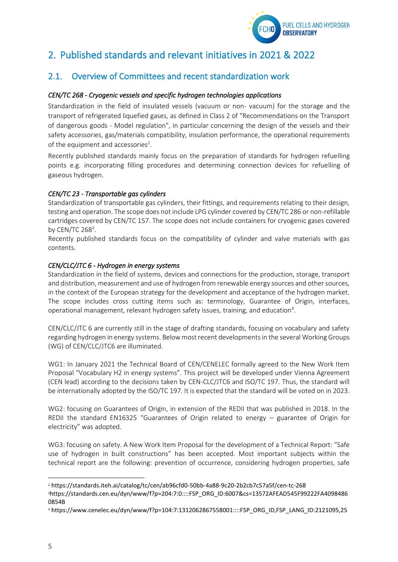

# <span id="page-5-0"></span>2. Published standards and relevant initiatives in 2021 & 2022

## <span id="page-5-1"></span>2.1. Overview of Committees and recent standardization work

#### *CEN/TC 268 - Cryogenic vessels and specific hydrogen technologies applications*

Standardization in the field of insulated vessels (vacuum or non- vacuum) for the storage and the transport of refrigerated liquefied gases, as defined in Class 2 of "Recommendations on the Transport of dangerous goods - Model regulation", in particular concerning the design of the vessels and their safety accessories, gas/materials compatibility, insulation performance, the operational requirements of the equipment and accessories<sup>2</sup>.

Recently published standards mainly focus on the preparation of standards for hydrogen refuelling points e.g. incorporating filling procedures and determining connection devices for refuelling of gaseous hydrogen.

#### *CEN/TC 23 - Transportable gas cylinders*

Standardization of transportable gas cylinders, their fittings, and requirements relating to their design, testing and operation. The scope does not include LPG cylinder covered by CEN/TC 286 or non-refillable cartridges covered by CEN/TC 157. The scope does not include containers for cryogenic gases covered by CEN/TC 268<sup>3</sup>.

Recently published standards focus on the compatibility of cylinder and valve materials with gas contents.

#### *CEN/CLC/JTC 6 - Hydrogen in energy systems*

Standardization in the field of systems, devices and connections for the production, storage, transport and distribution, measurement and use of hydrogen from renewable energy sources and other sources, in the context of the European strategy for the development and acceptance of the hydrogen market. The scope includes cross cutting items such as: terminology, Guarantee of Origin, interfaces, operational management, relevant hydrogen safety issues, training, and education<sup>4</sup>.

CEN/CLC/JTC 6 are currently still in the stage of drafting standards, focusing on vocabulary and safety regarding hydrogen in energy systems. Below most recent developments in the several Working Groups (WG) of CEN/CLC/JTC6 are illuminated.

WG1: In January 2021 the Technical Board of CEN/CENELEC formally agreed to the New Work Item Proposal "Vocabulary H2 in energy systems". This project will be developed under Vienna Agreement (CEN lead) according to the decisions taken by CEN-CLC/JTC6 and ISO/TC 197. Thus, the standard will be internationally adopted by the ISO/TC 197. It is expected that the standard will be voted on in 2023.

WG2: focusing on Guarantees of Origin, in extension of the REDII that was published in 2018. In the REDII the standard EN16325 "Guarantees of Origin related to energy – guarantee of Origin for electricity" was adopted.

WG3: focusing on safety. A New Work Item Proposal for the development of a Technical Report: "Safe use of hydrogen in built constructions" has been accepted. Most important subjects within the technical report are the following: prevention of occurrence, considering hydrogen properties, safe

<sup>2</sup> https://standards.iteh.ai/catalog/tc/cen/ab96cfd0-50bb-4a88-9c20-2b2cb7c57a5f/cen-tc-268

<sup>3</sup>https://standards.cen.eu/dyn/www/f?p=204:7:0::::FSP\_ORG\_ID:6007&cs=13572AFEAD545F99222FA4098486 0854B

<sup>4</sup> https://www.cenelec.eu/dyn/www/f?p=104:7:1312062867558001::::FSP\_ORG\_ID,FSP\_LANG\_ID:2121095,25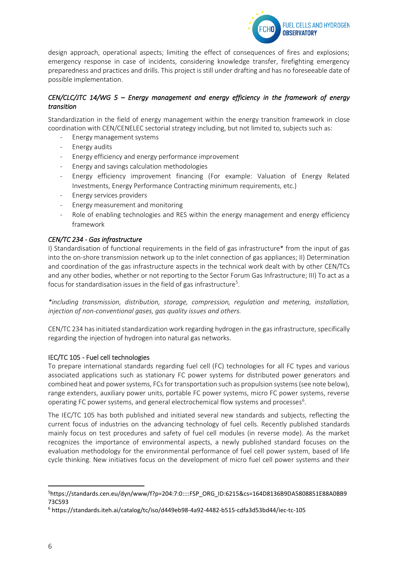

design approach, operational aspects; limiting the effect of consequences of fires and explosions; emergency response in case of incidents, considering knowledge transfer, firefighting emergency preparedness and practices and drills. This project is still under drafting and has no foreseeable date of possible implementation.

#### *CEN/CLC/JTC 14/WG 5 – Energy management and energy efficiency in the framework of energy transition*

Standardization in the field of energy management within the energy transition framework in close coordination with CEN/CENELEC sectorial strategy including, but not limited to, subjects such as:

- Energy management systems
- Energy audits
- Energy efficiency and energy performance improvement
- Energy and savings calculation methodologies
- Energy efficiency improvement financing (For example: Valuation of Energy Related Investments, Energy Performance Contracting minimum requirements, etc.)
- Energy services providers
- Energy measurement and monitoring
- Role of enabling technologies and RES within the energy management and energy efficiency framework

#### *CEN/TC 234 - Gas infrastructure*

I) Standardisation of functional requirements in the field of gas infrastructure\* from the input of gas into the on-shore transmission network up to the inlet connection of gas appliances; II) Determination and coordination of the gas infrastructure aspects in the technical work dealt with by other CEN/TCs and any other bodies, whether or not reporting to the Sector Forum Gas Infrastructure; III) To act as a focus for standardisation issues in the field of gas infrastructure<sup>5</sup>.

*\*including transmission, distribution, storage, compression, regulation and metering, installation, injection of non-conventional gases, gas quality issues and others.* 

CEN/TC 234 has initiated standardization work regarding hydrogen in the gas infrastructure, specifically regarding the injection of hydrogen into natural gas networks.

#### IEC/TC 105 - Fuel cell technologies

To prepare international standards regarding fuel cell (FC) technologies for all FC types and various associated applications such as stationary FC power systems for distributed power generators and combined heat and power systems, FCs for transportation such as propulsion systems (see note below), range extenders, auxiliary power units, portable FC power systems, micro FC power systems, reverse operating FC power systems, and general electrochemical flow systems and processes<sup>6</sup>.

The IEC/TC 105 has both published and initiated several new standards and subjects, reflecting the current focus of industries on the advancing technology of fuel cells. Recently published standards mainly focus on test procedures and safety of fuel cell modules (in reverse mode). As the market recognizes the importance of environmental aspects, a newly published standard focuses on the evaluation methodology for the environmental performance of fuel cell power system, based of life cycle thinking. New initiatives focus on the development of micro fuel cell power systems and their

<sup>5</sup>https://standards.cen.eu/dyn/www/f?p=204:7:0::::FSP\_ORG\_ID:6215&cs=164D8136B9DA5808851E88A0BB9 73C593

<sup>6</sup> https://standards.iteh.ai/catalog/tc/iso/d449eb98-4a92-4482-b515-cdfa3d53bd44/iec-tc-105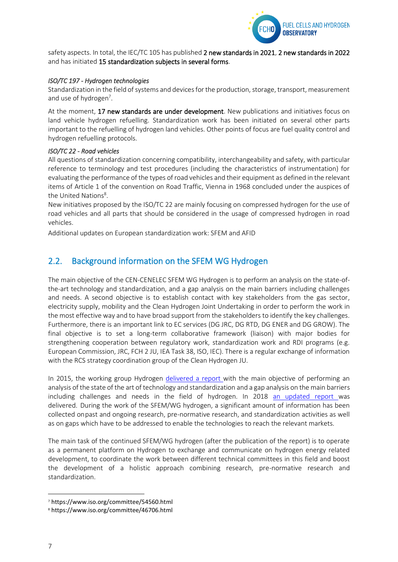

safety aspects. In total, the IEC/TC 105 has published 2 new standards in 2021, 2 new standards in 2022 and has initiated 15 standardization subjects in several forms.

#### *ISO/TC 197 - Hydrogen technologies*

Standardization in the field of systems and devices for the production, storage, transport, measurement and use of hydrogen<sup>7</sup>.

At the moment, 17 new standards are under development. New publications and initiatives focus on land vehicle hydrogen refuelling. Standardization work has been initiated on several other parts important to the refuelling of hydrogen land vehicles. Other points of focus are fuel quality control and hydrogen refuelling protocols.

#### *ISO/TC 22 - Road vehicles*

All questions of standardization concerning compatibility, interchangeability and safety, with particular reference to terminology and test procedures (including the characteristics of instrumentation) for evaluating the performance of the types of road vehicles and their equipment as defined in the relevant items of Article 1 of the convention on Road Traffic, Vienna in 1968 concluded under the auspices of the United Nations<sup>8</sup>.

New initiatives proposed by the ISO/TC 22 are mainly focusing on compressed hydrogen for the use of road vehicles and all parts that should be considered in the usage of compressed hydrogen in road vehicles.

Additional updates on European standardization work: SFEM and AFID

## <span id="page-7-0"></span>2.2. Background information on the SFEM WG Hydrogen

The main objective of the CEN-CENELEC SFEM WG Hydrogen is to perform an analysis on the state-ofthe-art technology and standardization, and a gap analysis on the main barriers including challenges and needs. A second objective is to establish contact with key stakeholders from the gas sector, electricity supply, mobility and the Clean Hydrogen Joint Undertaking in order to perform the work in the most effective way and to have broad support from the stakeholders to identify the key challenges. Furthermore, there is an important link to EC services (DG JRC, DG RTD, DG ENER and DG GROW). The final objective is to set a long-term collaborative framework (liaison) with major bodies for strengthening cooperation between regulatory work, standardization work and RDI programs (e.g. European Commission, JRC, FCH 2 JU, IEA Task 38, ISO, IEC). There is a regular exchange of information with the RCS strategy coordination group of the Clean Hydrogen JU.

In 2015, the working group Hydrogen [delivered a report w](https://publications.jrc.ec.europa.eu/repository/handle/JRC99525)ith the main objective of performing an analysis of the state of the art of technology and standardization and a gap analysis on the main barriers including challenges and needs in the field of hydrogen. In 2018 [an updated report w](https://publications.jrc.ec.europa.eu/repository/handle/JRC117765)as delivered. During the work of the SFEM/WG hydrogen, a significant amount of information has been collected onpast and ongoing research, pre-normative research, and standardization activities as well as on gaps which have to be addressed to enable the technologies to reach the relevant markets.

The main task of the continued SFEM/WG hydrogen (after the publication of the report) is to operate as a permanent platform on Hydrogen to exchange and communicate on hydrogen energy related development, to coordinate the work between different technical committees in this field and boost the development of a holistic approach combining research, pre-normative research and standardization.

<sup>7</sup> https://www.iso.org/committee/54560.html

<sup>8</sup> https://www.iso.org/committee/46706.html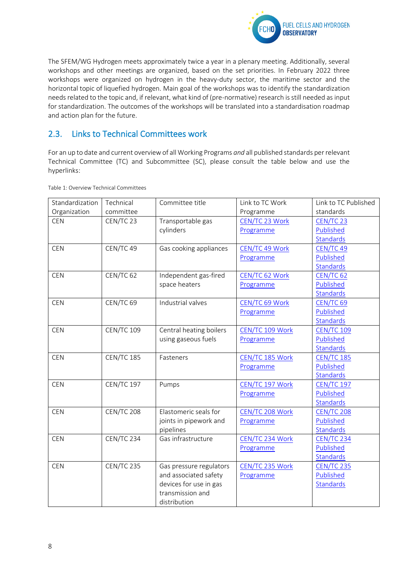

The SFEM/WG Hydrogen meets approximately twice a year in a plenary meeting. Additionally, several workshops and other meetings are organized, based on the set priorities. In February 2022 three workshops were organized on hydrogen in the heavy-duty sector, the maritime sector and the horizontal topic of liquefied hydrogen. Main goal of the workshops was to identify the standardization needs related to the topic and, if relevant, what kind of (pre-normative) research is still needed as input for standardization. The outcomes of the workshops will be translated into a standardisation roadmap and action plan for the future.

## <span id="page-8-0"></span>2.3. Links to Technical Committees work

For an up to date and current overview of all Working Programs *and* all published standards per relevant Technical Committee (TC) and Subcommittee (SC), please consult the table below and use the hyperlinks:

| Standardization | Technical            | Committee title         | Link to TC Work | Link to TC Published |
|-----------------|----------------------|-------------------------|-----------------|----------------------|
| Organization    | committee            |                         | Programme       | standards            |
| <b>CEN</b>      | CEN/TC 23            | Transportable gas       | CEN/TC 23 Work  | CEN/TC 23            |
|                 |                      | cylinders               | Programme       | Published            |
|                 |                      |                         |                 | <b>Standards</b>     |
| <b>CEN</b>      | CEN/TC 49            | Gas cooking appliances  | CEN/TC 49 Work  | CEN/TC 49            |
|                 |                      |                         | Programme       | Published            |
|                 |                      |                         |                 | <b>Standards</b>     |
| <b>CEN</b>      | CEN/TC 62            | Independent gas-fired   | CEN/TC 62 Work  | CEN/TC <sub>62</sub> |
|                 |                      | space heaters           | Programme       | Published            |
|                 |                      |                         |                 | <b>Standards</b>     |
| CEN             | CEN/TC <sub>69</sub> | Industrial valves       | CEN/TC 69 Work  | CEN/TC <sub>69</sub> |
|                 |                      |                         | Programme       | Published            |
|                 |                      |                         |                 | Standards            |
| <b>CEN</b>      | <b>CEN/TC 109</b>    | Central heating boilers | CEN/TC 109 Work | <b>CEN/TC 109</b>    |
|                 |                      | using gaseous fuels     | Programme       | Published            |
|                 |                      |                         |                 | Standards            |
| <b>CEN</b>      | <b>CEN/TC 185</b>    | Fasteners               | CEN/TC 185 Work | <b>CEN/TC 185</b>    |
|                 |                      |                         | Programme       | Published            |
|                 |                      |                         |                 | <b>Standards</b>     |
| <b>CEN</b>      | <b>CEN/TC 197</b>    | Pumps                   | CEN/TC 197 Work | <b>CEN/TC 197</b>    |
|                 |                      |                         | Programme       | Published            |
|                 |                      |                         |                 | <b>Standards</b>     |
| <b>CEN</b>      | <b>CEN/TC 208</b>    | Elastomeric seals for   | CEN/TC 208 Work | <b>CEN/TC 208</b>    |
|                 |                      | joints in pipework and  | Programme       | Published            |
|                 |                      | pipelines               |                 | <b>Standards</b>     |
| <b>CEN</b>      | CEN/TC 234           | Gas infrastructure      | CEN/TC 234 Work | <b>CEN/TC 234</b>    |
|                 |                      |                         | Programme       | Published            |
|                 |                      |                         |                 | <b>Standards</b>     |
| <b>CEN</b>      | <b>CEN/TC 235</b>    | Gas pressure regulators | CEN/TC 235 Work | <b>CEN/TC 235</b>    |
|                 |                      | and associated safety   | Programme       | Published            |
|                 |                      | devices for use in gas  |                 | <b>Standards</b>     |
|                 |                      | transmission and        |                 |                      |
|                 |                      | distribution            |                 |                      |

Table 1: Overview Technical Committees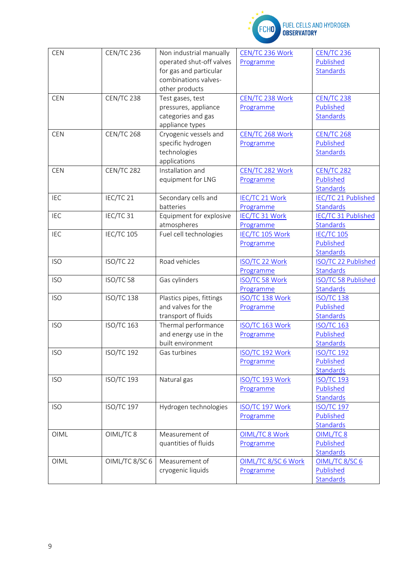

# FUEL CELLS AND HYDROGEN<br>OBSERVATORY

| <b>CEN</b> | <b>CEN/TC 236</b> | Non industrial manually  | CEN/TC 236 Work       | <b>CEN/TC 236</b>   |
|------------|-------------------|--------------------------|-----------------------|---------------------|
|            |                   | operated shut-off valves | Programme             | Published           |
|            |                   | for gas and particular   |                       | <b>Standards</b>    |
|            |                   | combinations valves-     |                       |                     |
|            |                   | other products           |                       |                     |
| <b>CEN</b> | CEN/TC 238        | Test gases, test         | CEN/TC 238 Work       | <b>CEN/TC 238</b>   |
|            |                   | pressures, appliance     | Programme             | Published           |
|            |                   | categories and gas       |                       | <b>Standards</b>    |
|            |                   | appliance types          |                       |                     |
| <b>CEN</b> | <b>CEN/TC 268</b> | Cryogenic vessels and    | CEN/TC 268 Work       | <b>CEN/TC 268</b>   |
|            |                   | specific hydrogen        | Programme             | Published           |
|            |                   | technologies             |                       | <b>Standards</b>    |
|            |                   | applications             |                       |                     |
| <b>CEN</b> | <b>CEN/TC 282</b> | Installation and         | CEN/TC 282 Work       | <b>CEN/TC 282</b>   |
|            |                   | equipment for LNG        | Programme             | Published           |
|            |                   |                          |                       | Standards           |
| IEC        | IEC/TC 21         | Secondary cells and      | <b>IEC/TC 21 Work</b> | IEC/TC 21 Published |
|            |                   | batteries                | Programme             | <b>Standards</b>    |
| <b>IEC</b> | IEC/TC 31         | Equipment for explosive  | IEC/TC 31 Work        | IEC/TC 31 Published |
|            |                   | atmospheres              | Programme             | <b>Standards</b>    |
| <b>IEC</b> | <b>IEC/TC 105</b> | Fuel cell technologies   | IEC/TC 105 Work       | <b>IEC/TC 105</b>   |
|            |                   |                          | Programme             | Published           |
|            |                   |                          |                       | <b>Standards</b>    |
| <b>ISO</b> | ISO/TC 22         | Road vehicles            | ISO/TC 22 Work        | ISO/TC 22 Published |
|            |                   |                          | Programme             | Standards           |
| <b>ISO</b> | ISO/TC 58         | Gas cylinders            | ISO/TC 58 Work        | ISO/TC 58 Published |
|            |                   |                          | Programme             | <b>Standards</b>    |
| <b>ISO</b> | <b>ISO/TC 138</b> | Plastics pipes, fittings | ISO/TC 138 Work       | <b>ISO/TC 138</b>   |
|            |                   | and valves for the       | Programme             | Published           |
|            |                   | transport of fluids      |                       | <b>Standards</b>    |
| <b>ISO</b> | <b>ISO/TC 163</b> | Thermal performance      | ISO/TC 163 Work       | <b>ISO/TC 163</b>   |
|            |                   | and energy use in the    | Programme             | Published           |
|            |                   | built environment        |                       | <b>Standards</b>    |
| <b>ISO</b> | <b>ISO/TC 192</b> | Gas turbines             | ISO/TC 192 Work       | <b>ISO/TC 192</b>   |
|            |                   |                          | Programme             | Published           |
|            |                   |                          |                       | <b>Standards</b>    |
| <b>ISO</b> | <b>ISO/TC 193</b> | Natural gas              | ISO/TC 193 Work       | <b>ISO/TC 193</b>   |
|            |                   |                          | Programme             | Published           |
|            |                   |                          |                       | <b>Standards</b>    |
| <b>ISO</b> | <b>ISO/TC 197</b> | Hydrogen technologies    | ISO/TC 197 Work       | <b>ISO/TC 197</b>   |
|            |                   |                          | Programme             | Published           |
|            |                   |                          |                       | <b>Standards</b>    |
| OIML       | OIML/TC8          | Measurement of           | OIML/TC 8 Work        | OIML/TC8            |
|            |                   | quantities of fluids     | Programme             | Published           |
|            |                   |                          |                       | <b>Standards</b>    |
| OIML       | OIML/TC 8/SC 6    | Measurement of           | OIML/TC 8/SC 6 Work   | OIML/TC 8/SC 6      |
|            |                   | cryogenic liquids        | Programme             | Published           |
|            |                   |                          |                       | <b>Standards</b>    |
|            |                   |                          |                       |                     |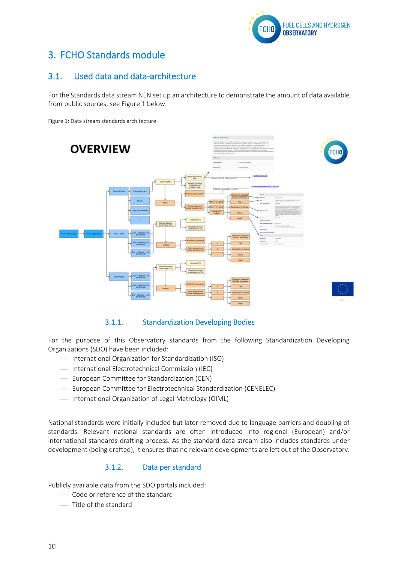

# <span id="page-10-0"></span>3. FCHO Standards module

## <span id="page-10-1"></span>3.1. Used data and data-architecture

For the Standards data stream NEN set up an architecture to demonstrate the amount of data available from public sources, see Figure 1 below.

Figure 1: Data stream standards architecture



#### 3.1.1. Standardization Developing Bodies

<span id="page-10-2"></span>For the purpose of this Observatory standards from the following Standardization Developing Organizations (SDO) have been included:

- ⎯ International Organization for Standardization (ISO)
- International Electrotechnical Commission (IEC)
- ⎯ European Committee for Standardization (CEN)
- European Committee for Electrotechnical Standardization (CENELEC)
- $-$  International Organization of Legal Metrology (OIML)

National standards were initially included but later removed due to language barriers and doubling of standards. Relevant national standards are often introduced into regional (European) and/or international standards drafting process. As the standard data stream also includes standards under development (being drafted), it ensures that no relevant developments are left out of the Observatory.

#### 3.1.2. Data per standard

<span id="page-10-3"></span>Publicly available data from the SDO portals included:

- ⎯ Code or reference of the standard
- ⎯ Title of the standard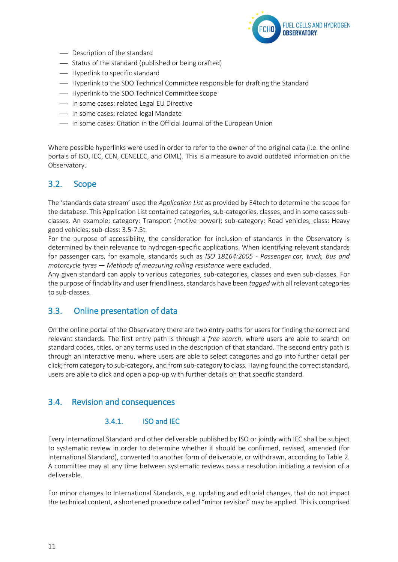

- Description of the standard
- $-$  Status of the standard (published or being drafted)
- Hyperlink to specific standard
- ⎯ Hyperlink to the SDO Technical Committee responsible for drafting the Standard
- ⎯ Hyperlink to the SDO Technical Committee scope
- ⎯ In some cases: related Legal EU Directive
- In some cases: related legal Mandate
- ⎯ In some cases: Citation in the Official Journal of the European Union

Where possible hyperlinks were used in order to refer to the owner of the original data (i.e. the online portals of ISO, IEC, CEN, CENELEC, and OIML). This is a measure to avoid outdated information on the Observatory.

#### <span id="page-11-0"></span>3.2. Scope

The 'standards data stream' used the *Application List* as provided by E4tech to determine the scope for the database. This Application List contained categories, sub-categories, classes, and in some cases subclasses. An example; category: Transport (motive power); sub-category: Road vehicles; class: Heavy good vehicles; sub-class: 3.5-7.5t.

For the purpose of accessibility, the consideration for inclusion of standards in the Observatory is determined by their relevance to hydrogen-specific applications. When identifying relevant standards for passenger cars, for example, standards such as *ISO 18164:2005 - Passenger car, truck, bus and motorcycle tyres — Methods of measuring rolling resistance* were excluded.

Any given standard can apply to various categories, sub-categories, classes and even sub-classes. For the purpose of findability and user friendliness, standards have been *tagged* with all relevant categories to sub-classes.

#### <span id="page-11-1"></span>3.3. Online presentation of data

On the online portal of the Observatory there are two entry paths for users for finding the correct and relevant standards. The first entry path is through a *free search*, where users are able to search on standard codes, titles, or any terms used in the description of that standard. The second entry path is through an interactive menu, where users are able to select categories and go into further detail per click; from category to sub-category, and from sub-category to class. Having found the correct standard, users are able to click and open a pop-up with further details on that specific standard.

#### <span id="page-11-3"></span><span id="page-11-2"></span>3.4. Revision and consequences

#### 3.4.1. ISO and IEC

Every International Standard and other deliverable published by ISO or jointly with IEC shall be subject to systematic review in order to determine whether it should be confirmed, revised, amended (for International Standard), converted to another form of deliverable, or withdrawn, according to Table 2. A committee may at any time between systematic reviews pass a resolution initiating a revision of a deliverable.

For minor changes to International Standards, e.g. updating and editorial changes, that do not impact the technical content, a shortened procedure called "minor revision" may be applied. This is comprised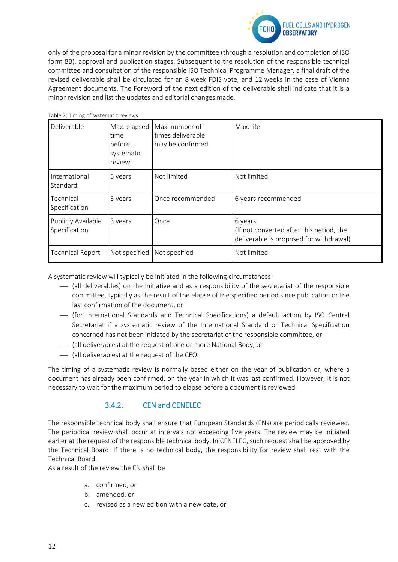

only of the proposal for a minor revision by the committee (through a resolution and completion of ISO form 8B), approval and publication stages. Subsequent to the resolution of the responsible technical committee and consultation of the responsible ISO Technical Programme Manager, a final draft of the revised deliverable shall be circulated for an 8 week FDIS vote, and 12 weeks in the case of Vienna Agreement documents. The Foreword of the next edition of the deliverable shall indicate that it is a minor revision and list the updates and editorial changes made.

| Table 2: Timing of systematic reviews |                                                        |                                                         |                                                                                                |  |  |
|---------------------------------------|--------------------------------------------------------|---------------------------------------------------------|------------------------------------------------------------------------------------------------|--|--|
| Deliverable                           | Max. elapsed<br>time<br>before<br>systematic<br>review | Max. number of<br>times deliverable<br>may be confirmed | Max. life                                                                                      |  |  |
| International<br>Standard             | 5 years                                                | Not limited                                             | Not limited                                                                                    |  |  |
| Technical<br>Specification            | 3 years                                                | Once recommended                                        | 6 years recommended                                                                            |  |  |
| Publicly Available<br>Specification   | 3 years                                                | Once                                                    | 6 years<br>(If not converted after this period, the<br>deliverable is proposed for withdrawal) |  |  |
| <b>Technical Report</b>               | Not specified                                          | Not specified                                           | Not limited                                                                                    |  |  |

A systematic review will typically be initiated in the following circumstances:

- ⎯ (all deliverables) on the initiative and as a responsibility of the secretariat of the responsible committee, typically as the result of the elapse of the specified period since publication or the last confirmation of the document, or
- ⎯ (for International Standards and Technical Specifications) a default action by ISO Central Secretariat if a systematic review of the International Standard or Technical Specification concerned has not been initiated by the secretariat of the responsible committee, or
- ⎯ (all deliverables) at the request of one or more National Body, or
- ⎯ (all deliverables) at the request of the CEO.

<span id="page-12-0"></span>The timing of a systematic review is normally based either on the year of publication or, where a document has already been confirmed, on the year in which it was last confirmed. However, it is not necessary to wait for the maximum period to elapse before a document is reviewed.

#### 3.4.2. CEN and CENELEC

The responsible technical body shall ensure that European Standards (ENs) are periodically reviewed. The periodical review shall occur at intervals not exceeding five years. The review may be initiated earlier at the request of the responsible technical body. In CENELEC, such request shall be approved by the Technical Board. If there is no technical body, the responsibility for review shall rest with the Technical Board.

As a result of the review the EN shall be

- a. confirmed, or
- b. amended, or
- c. revised as a new edition with a new date, or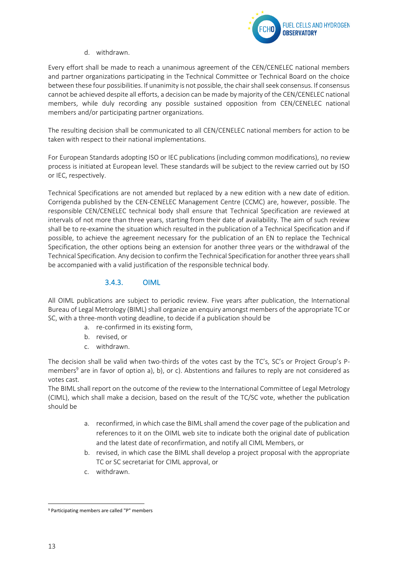

d. withdrawn.

Every effort shall be made to reach a unanimous agreement of the CEN/CENELEC national members and partner organizations participating in the Technical Committee or Technical Board on the choice between these four possibilities. If unanimity is not possible, the chair shall seek consensus. If consensus cannot be achieved despite all efforts, a decision can be made by majority of the CEN/CENELEC national members, while duly recording any possible sustained opposition from CEN/CENELEC national members and/or participating partner organizations.

The resulting decision shall be communicated to all CEN/CENELEC national members for action to be taken with respect to their national implementations.

For European Standards adopting ISO or IEC publications (including common modifications), no review process is initiated at European level. These standards will be subject to the review carried out by ISO or IEC, respectively.

Technical Specifications are not amended but replaced by a new edition with a new date of edition. Corrigenda published by the CEN-CENELEC Management Centre (CCMC) are, however, possible. The responsible CEN/CENELEC technical body shall ensure that Technical Specification are reviewed at intervals of not more than three years, starting from their date of availability. The aim of such review shall be to re-examine the situation which resulted in the publication of a Technical Specification and if possible, to achieve the agreement necessary for the publication of an EN to replace the Technical Specification, the other options being an extension for another three years or the withdrawal of the Technical Specification. Any decision to confirm the Technical Specification for another three years shall be accompanied with a valid justification of the responsible technical body.

#### 3.4.3. OIML

<span id="page-13-0"></span>All OIML publications are subject to periodic review. Five years after publication, the International Bureau of Legal Metrology (BIML) shall organize an enquiry amongst members of the appropriate TC or SC, with a three-month voting deadline, to decide if a publication should be

- a. re-confirmed in its existing form,
- b. revised, or
- c. withdrawn.

The decision shall be valid when two-thirds of the votes cast by the TC's, SC's or Project Group's Pmembers<sup>9</sup> are in favor of option a), b), or c). Abstentions and failures to reply are not considered as votes cast.

The BIML shall report on the outcome of the review to the International Committee of Legal Metrology (CIML), which shall make a decision, based on the result of the TC/SC vote, whether the publication should be

- a. reconfirmed, in which case the BIML shall amend the cover page of the publication and references to it on the OIML web site to indicate both the original date of publication and the latest date of reconfirmation, and notify all CIML Members, or
- b. revised, in which case the BIML shall develop a project proposal with the appropriate TC or SC secretariat for CIML approval, or
- c. withdrawn.

<sup>9</sup> Participating members are called "P" members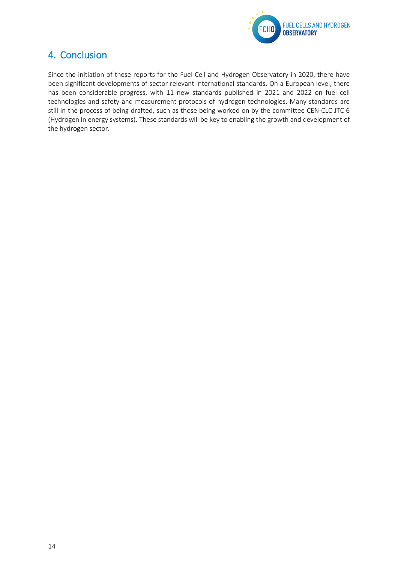

# <span id="page-14-0"></span>4. Conclusion

Since the initiation of these reports for the Fuel Cell and Hydrogen Observatory in 2020, there have been significant developments of sector relevant international standards. On a European level, there has been considerable progress, with 11 new standards published in 2021 and 2022 on fuel cell technologies and safety and measurement protocols of hydrogen technologies. Many standards are still in the process of being drafted, such as those being worked on by the committee CEN-CLC JTC 6 (Hydrogen in energy systems). These standards will be key to enabling the growth and development of the hydrogen sector.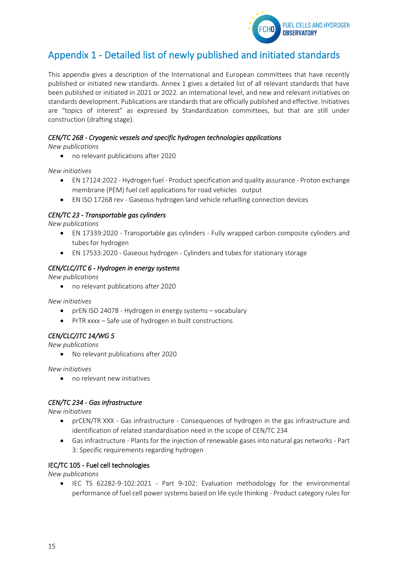

# <span id="page-15-0"></span>Appendix 1 - Detailed list of newly published and initiated standards

This appendix gives a description of the International and European committees that have recently published or initiated new standards. Annex 1 gives a detailed list of all relevant standards that have been published or initiated in 2021 or 2022. an international level, and new and relevant initiatives on standards development. Publications are standards that are officially published and effective. Initiatives are "topics of interest" as expressed by Standardization committees, but that are still under construction (drafting stage).

# *CEN/TC 268 - Cryogenic vessels and specific hydrogen technologies applications*

*New publications*

• no relevant publications after 2020

*New initiatives* 

- EN 17124:2022 Hydrogen fuel Product specification and quality assurance Proton exchange membrane (PEM) fuel cell applications for road vehicles output
- EN ISO 17268 rev Gaseous hydrogen land vehicle refuelling connection devices

#### *CEN/TC 23 - Transportable gas cylinders*

*New publications*

- EN 17339:2020 Transportable gas cylinders Fully wrapped carbon composite cylinders and tubes for hydrogen
- EN 17533:2020 Gaseous hydrogen Cylinders and tubes for stationary storage

#### *CEN/CLC/JTC 6 - Hydrogen in energy systems*

*New publications*

• no relevant publications after 2020

*New initiatives*

- prEN ISO 24078 Hydrogen in energy systems vocabulary
- PrTR xxxx Safe use of hydrogen in built constructions

#### *CEN/CLC/JTC 14/WG 5*

*New publications*

• No relevant publications after 2020

*New initiatives*

• no relevant new initiatives

#### *CEN/TC 234 - Gas infrastructure*

*New initiatives*

- prCEN/TR XXX Gas infrastructure Consequences of hydrogen in the gas infrastructure and identification of related standardisation need in the scope of CEN/TC 234
- Gas infrastructure Plants for the injection of renewable gases into natural gas networks Part 3: Specific requirements regarding hydrogen

#### IEC/TC 105 - Fuel cell technologies

*New publications*

• IEC TS 62282-9-102:2021 - Part 9-102: Evaluation methodology for the environmental performance of fuel cell power systems based on life cycle thinking - Product category rules for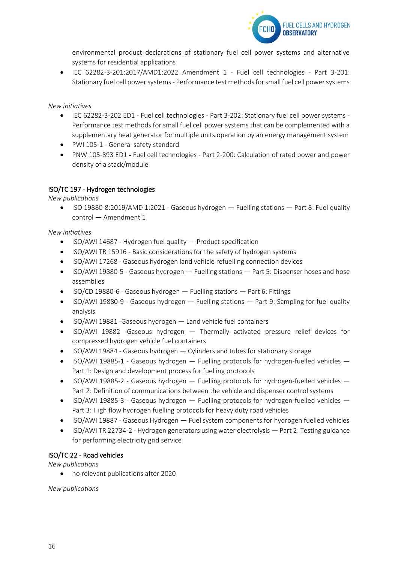

environmental product declarations of stationary fuel cell power systems and alternative systems for residential applications

• IEC 62282-3-201:2017/AMD1:2022 Amendment 1 - Fuel cell technologies - Part 3-201: Stationary fuel cell power systems - Performance test methods for small fuel cell power systems

#### *New initiatives*

- IEC 62282-3-202 ED1 Fuel cell technologies Part 3-202: Stationary fuel cell power systems Performance test methods for small fuel cell power systems that can be complemented with a supplementary heat generator for multiple units operation by an energy management system
- PWI 105-1 General safety standard
- PNW 105-893 ED1 Fuel cell technologies Part 2-200: Calculation of rated power and power density of a stack/module

#### ISO/TC 197 - Hydrogen technologies

*New publications*

• ISO 19880-8:2019/AMD 1:2021 - Gaseous hydrogen — Fuelling stations — Part 8: Fuel quality control — Amendment 1

#### *New initiatives*

- ISO/AWI 14687 Hydrogen fuel quality Product specification
- ISO/AWI TR 15916 Basic considerations for the safety of hydrogen systems
- ISO/AWI 17268 Gaseous hydrogen land vehicle refuelling connection devices
- ISO/AWI 19880-5 Gaseous hydrogen Fuelling stations Part 5: Dispenser hoses and hose assemblies
- ISO/CD 19880-6 Gaseous hydrogen Fuelling stations Part 6: Fittings
- ISO/AWI 19880-9 Gaseous hydrogen Fuelling stations Part 9: Sampling for fuel quality analysis
- ISO/AWI 19881 -Gaseous hydrogen Land vehicle fuel containers
- ISO/AWI 19882 -Gaseous hydrogen Thermally activated pressure relief devices for compressed hydrogen vehicle fuel containers
- ISO/AWI 19884 Gaseous hydrogen Cylinders and tubes for stationary storage
- ISO/AWI 19885-1 Gaseous hydrogen  $-$  Fuelling protocols for hydrogen-fuelled vehicles  $-$ Part 1: Design and development process for fuelling protocols
- ISO/AWI 19885-2 Gaseous hydrogen Fuelling protocols for hydrogen-fuelled vehicles Part 2: Definition of communications between the vehicle and dispenser control systems
- ISO/AWI 19885-3 Gaseous hydrogen Fuelling protocols for hydrogen-fuelled vehicles Part 3: High flow hydrogen fuelling protocols for heavy duty road vehicles
- ISO/AWI 19887 Gaseous Hydrogen Fuel system components for hydrogen fuelled vehicles
- ISO/AWI TR 22734-2 Hydrogen generators using water electrolysis Part 2: Testing guidance for performing electricity grid service

#### ISO/TC 22 - Road vehicles

*New publications*

• no relevant publications after 2020

*New publications*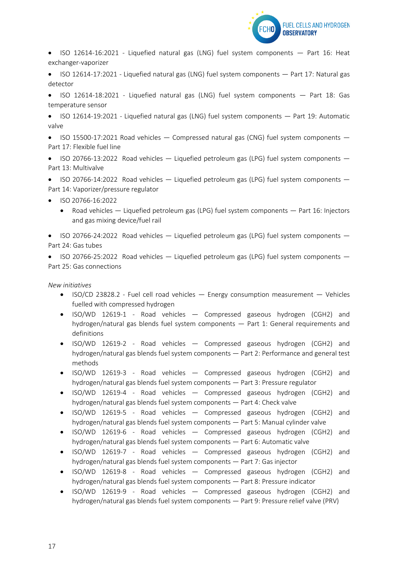

• ISO 12614-16:2021 - Liquefied natural gas (LNG) fuel system components — Part 16: Heat exchanger-vaporizer

• ISO 12614-17:2021 - Liquefied natural gas (LNG) fuel system components — Part 17: Natural gas detector

• ISO 12614-18:2021 - Liquefied natural gas (LNG) fuel system components — Part 18: Gas temperature sensor

• ISO 12614-19:2021 - Liquefied natural gas (LNG) fuel system components — Part 19: Automatic valve

• ISO 15500-17:2021 Road vehicles  $-$  Compressed natural gas (CNG) fuel system components  $-$ Part 17: Flexible fuel line

• [ISO 20766-13:2022](https://www.iso.org/standard/77700.html?browse=tc) Road vehicles  $-$  Liquefied petroleum gas (LPG) fuel system components  $-$ Part 13: Multivalve

• [ISO 20766-14:2022](https://www.iso.org/standard/77701.html?browse=tc) Road vehicles  $-$  Liquefied petroleum gas (LPG) fuel system components  $-$ Part 14: Vaporizer/pressure regulator

- [ISO 20766-16:2022](https://www.iso.org/standard/77703.html?browse=tc) 
	- Road vehicles Liquefied petroleum gas (LPG) fuel system components Part 16: Injectors and gas mixing device/fuel rail

• [ISO 20766-24:2022](https://www.iso.org/standard/77710.html?browse=tc) Road vehicles — Liquefied petroleum gas (LPG) fuel system components — Part 24: Gas tubes

• [ISO 20766-25:2022](https://www.iso.org/standard/77714.html?browse=tc) Road vehicles — Liquefied petroleum gas (LPG) fuel system components — Part 25: Gas connections

*New initiatives*

- ISO/CD 23828.2 Fuel cell road vehicles Energy consumption measurement Vehicles fuelled with compressed hydrogen
- ISO/WD 12619-1 Road vehicles Compressed gaseous hydrogen (CGH2) and hydrogen/natural gas blends fuel system components — Part 1: General requirements and definitions
- ISO/WD 12619-2 Road vehicles Compressed gaseous hydrogen (CGH2) and hydrogen/natural gas blends fuel system components — Part 2: Performance and general test methods
- ISO/WD 12619-3 Road vehicles Compressed gaseous hydrogen (CGH2) and hydrogen/natural gas blends fuel system components — Part 3: Pressure regulator
- ISO/WD 12619-4 Road vehicles Compressed gaseous hydrogen (CGH2) and hydrogen/natural gas blends fuel system components — Part 4: Check valve
- ISO/WD 12619-5 Road vehicles Compressed gaseous hydrogen (CGH2) and hydrogen/natural gas blends fuel system components — Part 5: Manual cylinder valve
- ISO/WD 12619-6 Road vehicles Compressed gaseous hydrogen (CGH2) and hydrogen/natural gas blends fuel system components — Part 6: Automatic valve
- ISO/WD 12619-7 Road vehicles Compressed gaseous hydrogen (CGH2) and hydrogen/natural gas blends fuel system components — Part 7: Gas injector
- ISO/WD 12619-8 Road vehicles Compressed gaseous hydrogen (CGH2) and hydrogen/natural gas blends fuel system components — Part 8: Pressure indicator
- ISO/WD 12619-9 Road vehicles Compressed gaseous hydrogen (CGH2) and hydrogen/natural gas blends fuel system components — Part 9: Pressure relief valve (PRV)